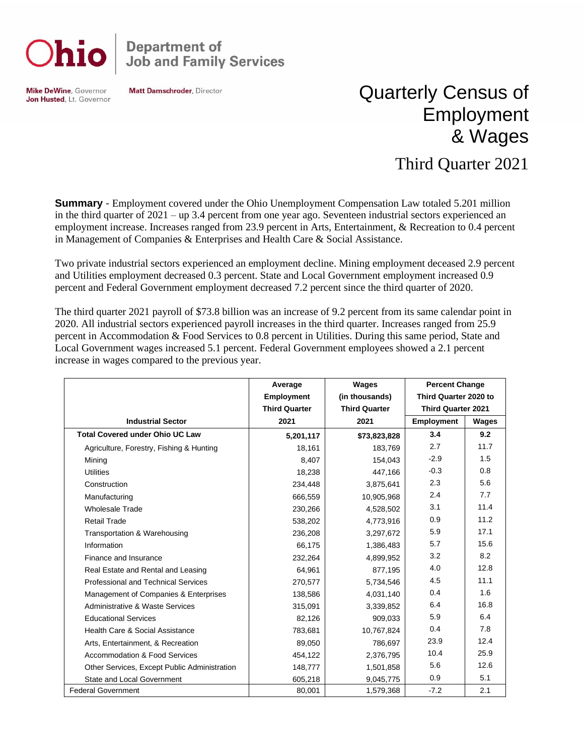

## **Department of<br>Job and Family Services**

**Mike DeWine, Governor** Jon Husted, Lt. Governor **Matt Damschroder, Director** 

## Quarterly Census of Employment & Wages

## Third Quarter 2021

**Summary** - Employment covered under the Ohio Unemployment Compensation Law totaled 5.201 million in the third quarter of 2021 – up 3.4 percent from one year ago. Seventeen industrial sectors experienced an employment increase. Increases ranged from 23.9 percent in Arts, Entertainment, & Recreation to 0.4 percent in Management of Companies & Enterprises and Health Care & Social Assistance.

Two private industrial sectors experienced an employment decline. Mining employment deceased 2.9 percent and Utilities employment decreased 0.3 percent. State and Local Government employment increased 0.9 percent and Federal Government employment decreased 7.2 percent since the third quarter of 2020.

The third quarter 2021 payroll of \$73.8 billion was an increase of 9.2 percent from its same calendar point in 2020. All industrial sectors experienced payroll increases in the third quarter. Increases ranged from 25.9 percent in Accommodation & Food Services to 0.8 percent in Utilities. During this same period, State and Local Government wages increased 5.1 percent. Federal Government employees showed a 2.1 percent increase in wages compared to the previous year.

|                                              | Average              | Wages                | <b>Percent Change</b>     |       |
|----------------------------------------------|----------------------|----------------------|---------------------------|-------|
|                                              | <b>Employment</b>    | (in thousands)       | Third Quarter 2020 to     |       |
|                                              | <b>Third Quarter</b> | <b>Third Quarter</b> | <b>Third Quarter 2021</b> |       |
| <b>Industrial Sector</b>                     | 2021                 | 2021                 | <b>Employment</b>         | Wages |
| <b>Total Covered under Ohio UC Law</b>       | 5,201,117            | \$73,823,828         | 3.4                       | 9.2   |
| Agriculture, Forestry, Fishing & Hunting     | 18,161               | 183,769              | 2.7                       | 11.7  |
| Mining                                       | 8,407                | 154,043              | $-2.9$                    | 1.5   |
| <b>Utilities</b>                             | 18,238               | 447,166              | $-0.3$                    | 0.8   |
| Construction                                 | 234,448              | 3,875,641            | 2.3                       | 5.6   |
| Manufacturing                                | 666,559              | 10,905,968           | 2.4                       | 7.7   |
| <b>Wholesale Trade</b>                       | 230,266              | 4,528,502            | 3.1                       | 11.4  |
| <b>Retail Trade</b>                          | 538,202              | 4,773,916            | 0.9                       | 11.2  |
| Transportation & Warehousing                 | 236,208              | 3,297,672            | 5.9                       | 17.1  |
| Information                                  | 66,175               | 1,386,483            | 5.7                       | 15.6  |
| Finance and Insurance                        | 232,264              | 4,899,952            | 3.2                       | 8.2   |
| Real Estate and Rental and Leasing           | 64,961               | 877,195              | 4.0                       | 12.8  |
| <b>Professional and Technical Services</b>   | 270,577              | 5,734,546            | 4.5                       | 11.1  |
| Management of Companies & Enterprises        | 138,586              | 4,031,140            | 0.4                       | 1.6   |
| Administrative & Waste Services              | 315,091              | 3,339,852            | 6.4                       | 16.8  |
| <b>Educational Services</b>                  | 82,126               | 909,033              | 5.9                       | 6.4   |
| Health Care & Social Assistance              | 783,681              | 10,767,824           | 0.4                       | 7.8   |
| Arts, Entertainment, & Recreation            | 89,050               | 786,697              | 23.9                      | 12.4  |
| Accommodation & Food Services                | 454,122              | 2,376,795            | 10.4                      | 25.9  |
| Other Services, Except Public Administration | 148,777              | 1,501,858            | 5.6                       | 12.6  |
| State and Local Government                   | 605,218              | 9,045,775            | 0.9                       | 5.1   |
| <b>Federal Government</b>                    | 80,001               | 1,579,368            | $-7.2$                    | 2.1   |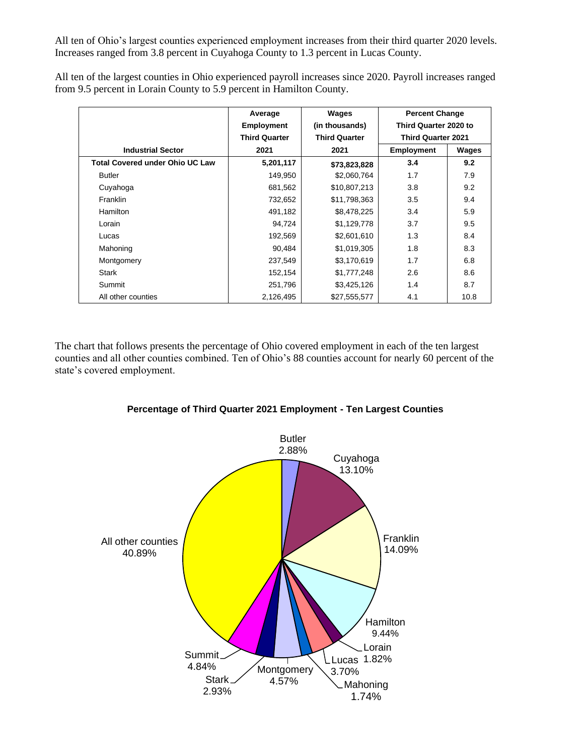All ten of Ohio's largest counties experienced employment increases from their third quarter 2020 levels. Increases ranged from 3.8 percent in Cuyahoga County to 1.3 percent in Lucas County.

|                                        | Average              | Wages                | <b>Percent Change</b><br>Third Quarter 2020 to |       |
|----------------------------------------|----------------------|----------------------|------------------------------------------------|-------|
|                                        | <b>Employment</b>    | (in thousands)       |                                                |       |
|                                        | <b>Third Quarter</b> | <b>Third Quarter</b> | <b>Third Quarter 2021</b>                      |       |
| <b>Industrial Sector</b>               | 2021                 | 2021                 | <b>Employment</b>                              | Wages |
| <b>Total Covered under Ohio UC Law</b> | 5,201,117            | \$73,823,828         | 3.4                                            | 9.2   |
| <b>Butler</b>                          | 149,950              | \$2,060,764          | 1.7                                            | 7.9   |
| Cuyahoga                               | 681,562              | \$10,807,213         | 3.8                                            | 9.2   |
| Franklin                               | 732,652              | \$11,798,363         | 3.5                                            | 9.4   |
| Hamilton                               | 491,182              | \$8,478,225          | 3.4                                            | 5.9   |
| Lorain                                 | 94,724               | \$1,129,778          | 3.7                                            | 9.5   |
| Lucas                                  | 192,569              | \$2,601,610          | 1.3                                            | 8.4   |
| Mahoning                               | 90,484               | \$1,019,305          | 1.8                                            | 8.3   |
| Montgomery                             | 237,549              | \$3,170,619          | 1.7                                            | 6.8   |
| Stark                                  | 152,154              | \$1,777,248          | 2.6                                            | 8.6   |
| Summit                                 | 251,796              | \$3,425,126          | 1.4                                            | 8.7   |
| All other counties                     | 2,126,495            | \$27,555,577         | 4.1                                            | 10.8  |

All ten of the largest counties in Ohio experienced payroll increases since 2020. Payroll increases ranged from 9.5 percent in Lorain County to 5.9 percent in Hamilton County.

The chart that follows presents the percentage of Ohio covered employment in each of the ten largest counties and all other counties combined. Ten of Ohio's 88 counties account for nearly 60 percent of the state's covered employment.



**Percentage of Third Quarter 2021 Employment - Ten Largest Counties**